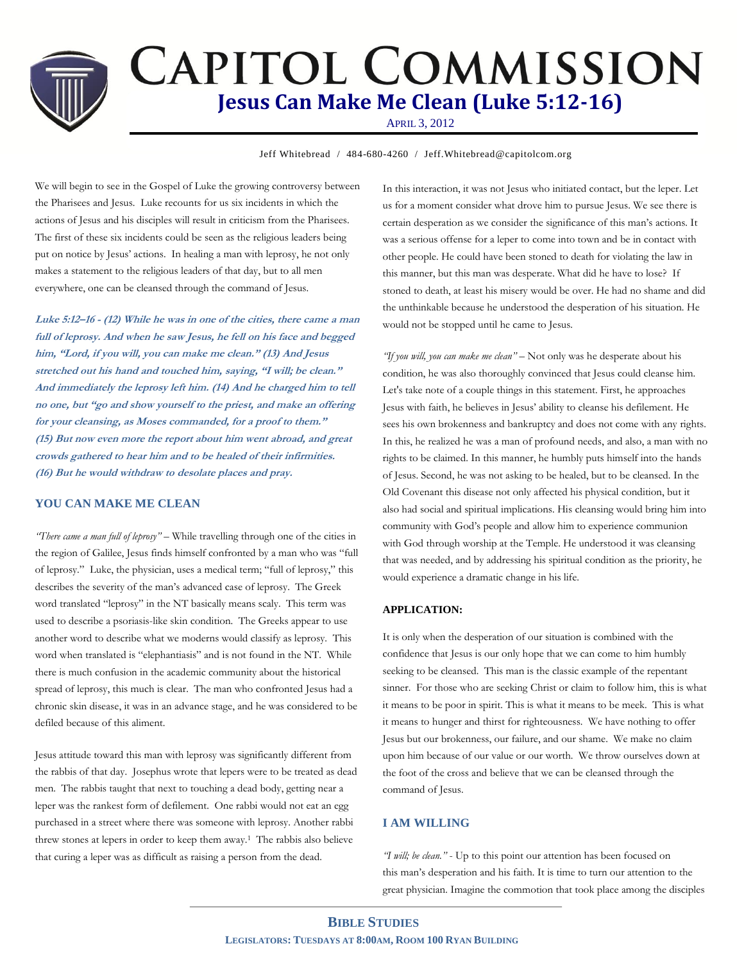# **CAPITOL COMMISSION Jesus Can Make Me Clean (Luke 5:12-16)**

APRIL 3, 2012

**Jeff Whitebread / 484-680-4260 / Jeff.Whitebread@capitolcom.org** 

We will begin to see in the Gospel of Luke the growing controversy between the Pharisees and Jesus. Luke recounts for us six incidents in which the actions of Jesus and his disciples will result in criticism from the Pharisees. The first of these six incidents could be seen as the religious leaders being put on notice by Jesus' actions. In healing a man with leprosy, he not only makes a statement to the religious leaders of that day, but to all men everywhere, one can be cleansed through the command of Jesus.

**Luke 5:12–16 - (12) While he was in one of the cities, there came a man full of leprosy. And when he saw Jesus, he fell on his face and begged him, "Lord, if you will, you can make me clean." (13) And Jesus stretched out his hand and touched him, saying, "I will; be clean." And immediately the leprosy left him. (14) And he charged him to tell no one, but "go and show yourself to the priest, and make an offering for your cleansing, as Moses commanded, for a proof to them." (15) But now even more the report about him went abroad, and great crowds gathered to hear him and to be healed of their infirmities. (16) But he would withdraw to desolate places and pray.**

## **YOU CAN MAKE ME CLEAN**

*"There came a man full of leprosy"* – While travelling through one of the cities in the region of Galilee, Jesus finds himself confronted by a man who was "full of leprosy." Luke, the physician, uses a medical term; "full of leprosy," this describes the severity of the man's advanced case of leprosy. The Greek word translated "leprosy" in the NT basically means scaly. This term was used to describe a psoriasis-like skin condition. The Greeks appear to use another word to describe what we moderns would classify as leprosy. This word when translated is "elephantiasis" and is not found in the NT. While there is much confusion in the academic community about the historical spread of leprosy, this much is clear. The man who confronted Jesus had a chronic skin disease, it was in an advance stage, and he was considered to be defiled because of this aliment.

Jesus attitude toward this man with leprosy was significantly different from the rabbis of that day. Josephus wrote that lepers were to be treated as dead men. The rabbis taught that next to touching a dead body, getting near a leper was the rankest form of defilement. One rabbi would not eat an egg purchased in a street where there was someone with leprosy. Another rabbi threw stones at lepers in order to keep them away.<sup>1</sup> The rabbis also believe that curing a leper was as difficult as raising a person from the dead.

In this interaction, it was not Jesus who initiated contact, but the leper. Let us for a moment consider what drove him to pursue Jesus. We see there is certain desperation as we consider the significance of this man's actions. It was a serious offense for a leper to come into town and be in contact with other people. He could have been stoned to death for violating the law in this manner, but this man was desperate. What did he have to lose? If stoned to death, at least his misery would be over. He had no shame and did the unthinkable because he understood the desperation of his situation. He would not be stopped until he came to Jesus.

*"If you will, you can make me clean"* – Not only was he desperate about his condition, he was also thoroughly convinced that Jesus could cleanse him. Let's take note of a couple things in this statement. First, he approaches Jesus with faith, he believes in Jesus' ability to cleanse his defilement. He sees his own brokenness and bankruptcy and does not come with any rights. In this, he realized he was a man of profound needs, and also, a man with no rights to be claimed. In this manner, he humbly puts himself into the hands of Jesus. Second, he was not asking to be healed, but to be cleansed. In the Old Covenant this disease not only affected his physical condition, but it also had social and spiritual implications. His cleansing would bring him into community with God's people and allow him to experience communion with God through worship at the Temple. He understood it was cleansing that was needed, and by addressing his spiritual condition as the priority, he would experience a dramatic change in his life.

#### **APPLICATION:**

It is only when the desperation of our situation is combined with the confidence that Jesus is our only hope that we can come to him humbly seeking to be cleansed. This man is the classic example of the repentant sinner. For those who are seeking Christ or claim to follow him, this is what it means to be poor in spirit. This is what it means to be meek. This is what it means to hunger and thirst for righteousness. We have nothing to offer Jesus but our brokenness, our failure, and our shame. We make no claim upon him because of our value or our worth. We throw ourselves down at the foot of the cross and believe that we can be cleansed through the command of Jesus.

## **I AM WILLING**

*"I will; be clean."* - Up to this point our attention has been focused on this man's desperation and his faith. It is time to turn our attention to the great physician. Imagine the commotion that took place among the disciples